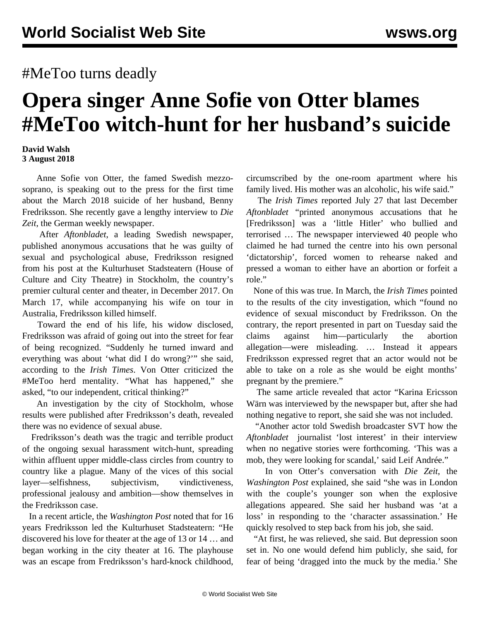## #MeToo turns deadly

## **Opera singer Anne Sofie von Otter blames #MeToo witch-hunt for her husband's suicide**

## **David Walsh 3 August 2018**

 Anne Sofie von Otter, the famed Swedish mezzosoprano, is speaking out to the press for the first time about the March 2018 suicide of her husband, Benny Fredriksson. She recently gave a lengthy interview to *Die Zeit*, the German weekly newspaper.

 After *Aftonbladet*, a leading Swedish newspaper, published anonymous accusations that he was guilty of sexual and psychological abuse, Fredriksson resigned from his post at the Kulturhuset Stadsteatern (House of Culture and City Theatre) in Stockholm, the country's premier cultural center and theater, in December 2017. On March 17, while accompanying his wife on tour in Australia, Fredriksson killed himself.

 Toward the end of his life, his widow disclosed, Fredriksson was afraid of going out into the street for fear of being recognized. "Suddenly he turned inward and everything was about 'what did I do wrong?'" she said, according to the *Irish Times*. Von Otter criticized the #MeToo herd mentality. "What has happened," she asked, "to our independent, critical thinking?"

 An investigation by the city of Stockholm, whose results were published after Fredriksson's death, revealed there was no evidence of sexual abuse.

 Fredriksson's death was the tragic and terrible product of the ongoing sexual harassment witch-hunt, spreading within affluent upper middle-class circles from country to country like a plague. Many of the vices of this social layer—selfishness, subjectivism, vindictiveness, professional jealousy and ambition—show themselves in the Fredriksson case.

 In a recent article, the *Washington Post* noted that for 16 years Fredriksson led the Kulturhuset Stadsteatern: "He discovered his love for theater at the age of 13 or 14 … and began working in the city theater at 16. The playhouse was an escape from Fredriksson's hard-knock childhood, circumscribed by the one-room apartment where his family lived. His mother was an alcoholic, his wife said."

 The *Irish Times* reported July 27 that last December *Aftonbladet* "printed anonymous accusations that he [Fredriksson] was a 'little Hitler' who bullied and terrorised … The newspaper interviewed 40 people who claimed he had turned the centre into his own personal 'dictatorship', forced women to rehearse naked and pressed a woman to either have an abortion or forfeit a role."

 None of this was true. In March, the *Irish Times* pointed to the results of the city investigation, which "found no evidence of sexual misconduct by Fredriksson. On the contrary, the report presented in part on Tuesday said the claims against him—particularly the abortion allegation—were misleading. … Instead it appears Fredriksson expressed regret that an actor would not be able to take on a role as she would be eight months' pregnant by the premiere."

 The same article revealed that actor "Karina Ericsson Wärn was interviewed by the newspaper but, after she had nothing negative to report, she said she was not included.

 "Another actor told Swedish broadcaster SVT how the *Aftonbladet* journalist 'lost interest' in their interview when no negative stories were forthcoming. 'This was a mob, they were looking for scandal,' said Leif Andrée."

 In von Otter's conversation with *Die Zeit*, the *Washington Post* explained, she said "she was in London with the couple's younger son when the explosive allegations appeared. She said her husband was 'at a loss' in responding to the 'character assassination.' He quickly resolved to step back from his job, she said.

 "At first, he was relieved, she said. But depression soon set in. No one would defend him publicly, she said, for fear of being 'dragged into the muck by the media.' She